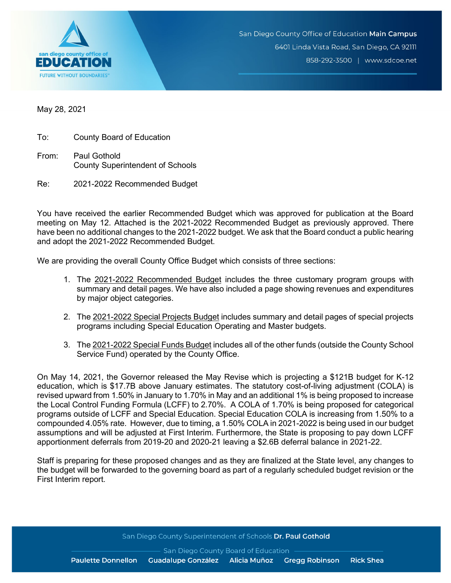

May 28, 2021

To: County Board of Education

From: Paul Gothold County Superintendent of Schools

Re: 2021-2022 Recommended Budget

You have received the earlier Recommended Budget which was approved for publication at the Board meeting on May 12. Attached is the 2021-2022 Recommended Budget as previously approved. There have been no additional changes to the 2021-2022 budget. We ask that the Board conduct a public hearing and adopt the 2021-2022 Recommended Budget.

We are providing the overall County Office Budget which consists of three sections:

- 1. The 2021-2022 Recommended Budget includes the three customary program groups with summary and detail pages. We have also included a page showing revenues and expenditures by major object categories.
- 2. The 2021-2022 Special Projects Budget includes summary and detail pages of special projects programs including Special Education Operating and Master budgets.
- 3. The 2021-2022 Special Funds Budget includes all of the other funds (outside the County School Service Fund) operated by the County Office.

On May 14, 2021, the Governor released the May Revise which is projecting a \$121B budget for K-12 education, which is \$17.7B above January estimates. The statutory cost-of-living adjustment (COLA) is revised upward from 1.50% in January to 1.70% in May and an additional 1% is being proposed to increase the Local Control Funding Formula (LCFF) to 2.70%. A COLA of 1.70% is being proposed for categorical programs outside of LCFF and Special Education. Special Education COLA is increasing from 1.50% to a compounded 4.05% rate. However, due to timing, a 1.50% COLA in 2021-2022 is being used in our budget assumptions and will be adjusted at First Interim. Furthermore, the State is proposing to pay down LCFF apportionment deferrals from 2019-20 and 2020-21 leaving a \$2.6B deferral balance in 2021-22.

Staff is preparing for these proposed changes and as they are finalized at the State level, any changes to the budget will be forwarded to the governing board as part of a regularly scheduled budget revision or the First Interim report.

San Diego County Superintendent of Schools Dr. Paul Gothold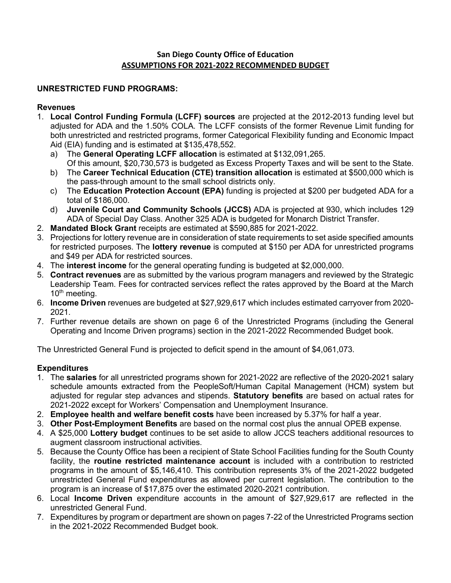# **San Diego County Office of Education ASSUMPTIONS FOR 2021-2022 RECOMMENDED BUDGET**

# **UNRESTRICTED FUND PROGRAMS:**

### **Revenues**

- 1. **Local Control Funding Formula (LCFF) sources** are projected at the 2012-2013 funding level but adjusted for ADA and the 1.50% COLA. The LCFF consists of the former Revenue Limit funding for both unrestricted and restricted programs, former Categorical Flexibility funding and Economic Impact Aid (EIA) funding and is estimated at \$135,478,552.
	- a) The **General Operating LCFF allocation** is estimated at \$132,091,265. Of this amount, \$20,730,573 is budgeted as Excess Property Taxes and will be sent to the State.
	- b) The **Career Technical Education (CTE) transition allocation** is estimated at \$500,000 which is the pass-through amount to the small school districts only.
	- c) The **Education Protection Account (EPA)** funding is projected at \$200 per budgeted ADA for a total of \$186,000.
	- d) **Juvenile Court and Community Schools (JCCS)** ADA is projected at 930, which includes 129 ADA of Special Day Class. Another 325 ADA is budgeted for Monarch District Transfer.
- 2. **Mandated Block Grant** receipts are estimated at \$590,885 for 2021-2022.
- 3. Projections for lottery revenue are in consideration of state requirements to set aside specified amounts for restricted purposes. The **lottery revenue** is computed at \$150 per ADA for unrestricted programs and \$49 per ADA for restricted sources.
- 4. The **interest income** for the general operating funding is budgeted at \$2,000,000.
- 5. **Contract revenues** are as submitted by the various program managers and reviewed by the Strategic Leadership Team. Fees for contracted services reflect the rates approved by the Board at the March  $10<sup>th</sup>$  meeting.
- 6. **Income Driven** revenues are budgeted at \$27,929,617 which includes estimated carryover from 2020- 2021.
- 7. Further revenue details are shown on page 6 of the Unrestricted Programs (including the General Operating and Income Driven programs) section in the 2021-2022 Recommended Budget book.

The Unrestricted General Fund is projected to deficit spend in the amount of \$4,061,073.

# **Expenditures**

- 1. The **salaries** for all unrestricted programs shown for 2021-2022 are reflective of the 2020-2021 salary schedule amounts extracted from the PeopleSoft/Human Capital Management (HCM) system but adjusted for regular step advances and stipends. **Statutory benefits** are based on actual rates for 2021-2022 except for Workers' Compensation and Unemployment Insurance.
- 2. **Employee health and welfare benefit costs** have been increased by 5.37% for half a year.
- 3. **Other Post-Employment Benefits** are based on the normal cost plus the annual OPEB expense.
- 4. A \$25,000 **Lottery budget** continues to be set aside to allow JCCS teachers additional resources to augment classroom instructional activities.
- 5. Because the County Office has been a recipient of State School Facilities funding for the South County facility, the **routine restricted maintenance account** is included with a contribution to restricted programs in the amount of \$5,146,410. This contribution represents 3% of the 2021-2022 budgeted unrestricted General Fund expenditures as allowed per current legislation. The contribution to the program is an increase of \$17,875 over the estimated 2020-2021 contribution.
- 6. Local **Income Driven** expenditure accounts in the amount of \$27,929,617 are reflected in the unrestricted General Fund.
- 7. Expenditures by program or department are shown on pages 7-22 of the Unrestricted Programs section in the 2021-2022 Recommended Budget book.